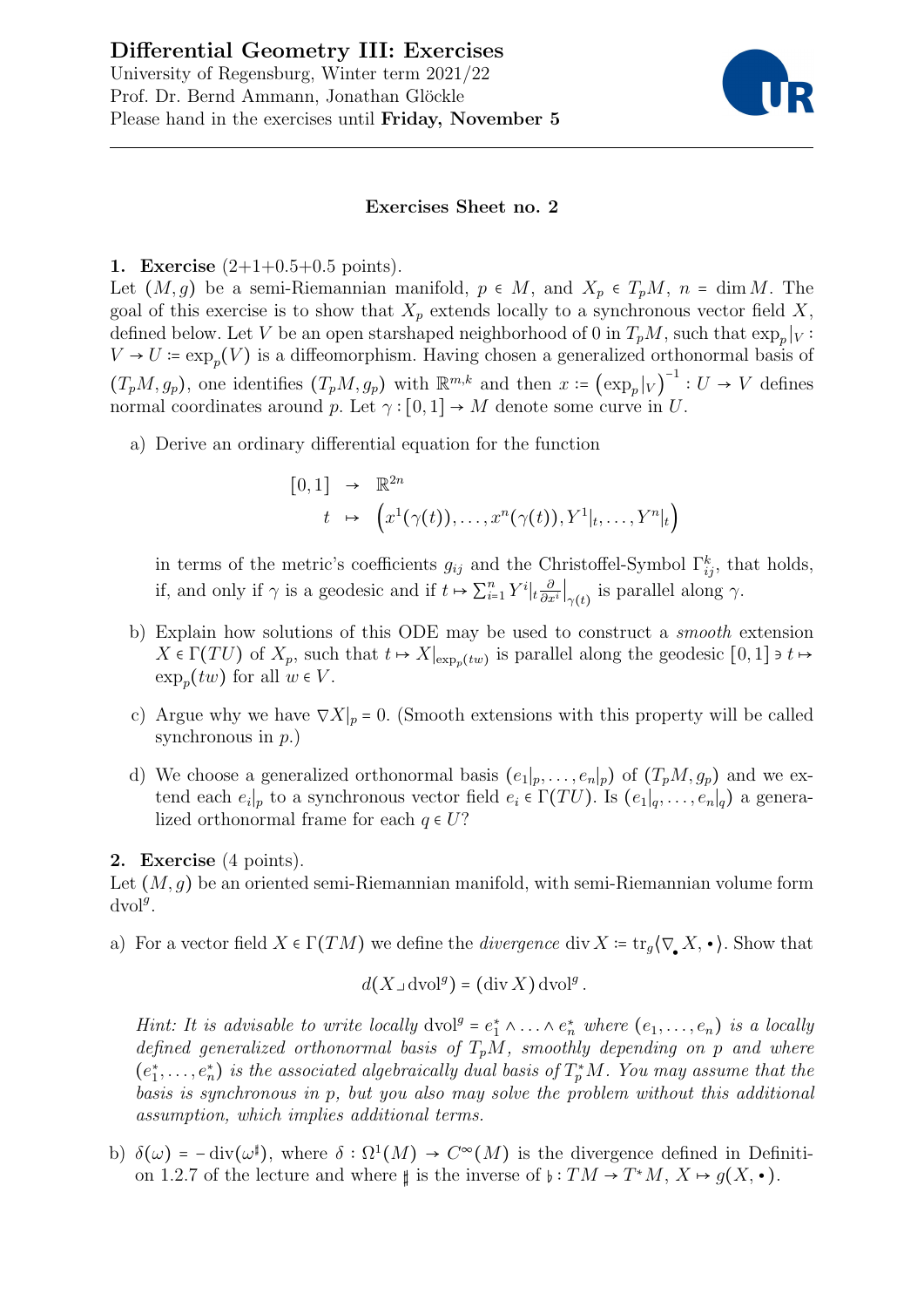

# Exercises Sheet no. 2

# 1. Exercise  $(2+1+0.5+0.5 \text{ points}).$

Let  $(M, g)$  be a semi-Riemannian manifold,  $p \in M$ , and  $X_p \in T_pM$ ,  $n = \dim M$ . The goal of this exercise is to show that  $X_p$  extends locally to a synchronous vector field X, defined below. Let V be an open starshaped neighborhood of 0 in  $T_pM$ , such that  $\exp_p|_V$ :  $V \to U := \exp_p(V)$  is a diffeomorphism. Having chosen a generalized orthonormal basis of  $(T_pM, g_p)$ , one identifies  $(T_pM, g_p)$  with  $\mathbb{R}^{m,k}$  and then  $x = (\exp_p|_V)$  $\frac{-1}{\sigma}: U \to V$  defines normal coordinates around p. Let  $\gamma : [0,1] \rightarrow M$  denote some curve in U.

a) Derive an ordinary differential equation for the function

$$
[0,1] \rightarrow \mathbb{R}^{2n}
$$
  

$$
t \mapsto (x^1(\gamma(t)), \dots, x^n(\gamma(t)), Y^1|_t, \dots, Y^n|_t)
$$

in terms of the metric's coefficients  $g_{ij}$  and the Christoffel-Symbol  $\Gamma_{ij}^k$ , that holds, if, and only if  $\gamma$  is a geodesic and if  $t \mapsto \sum_{i=1}^n Y^i \big|_t \frac{\partial}{\partial x^i} \big|_{\gamma(t)}$  is parallel along  $\gamma$ .

- b) Explain how solutions of this ODE may be used to construct a smooth extension  $X \in \Gamma(TU)$  of  $X_p$ , such that  $t \mapsto X|_{\exp_p(tw)}$  is parallel along the geodesic  $[0,1] \ni t \mapsto$  $\exp_p(tw)$  for all  $w \in V$ .
- c) Argue why we have  $\nabla X|_p = 0$ . (Smooth extensions with this property will be called synchronous in  $p$ .)
- d) We choose a generalized orthonormal basis  $(e_1|_p, \ldots, e_n|_p)$  of  $(T_pM, g_p)$  and we extend each  $e_i|_p$  to a synchronous vector field  $e_i \in \Gamma(TU)$ . Is  $(e_1|_q, \ldots, e_n|_q)$  a generalized orthonormal frame for each  $q \in U$ ?

# 2. Exercise (4 points).

Let  $(M, q)$  be an oriented semi-Riemannian manifold, with semi-Riemannian volume form  $dvol<sup>g</sup>$ .

a) For a vector field  $X \in \Gamma(TM)$  we define the *divergence* div  $X = \text{tr}_q(\nabla X, \cdot)$ . Show that

$$
d(X \lrcorner \operatorname{dvol}^g) = (\operatorname{div} X) \operatorname{dvol}^g.
$$

Hint: It is advisable to write locally  $\text{dvol}^g = e_1^* \wedge \ldots \wedge e_n^*$  where  $(e_1, \ldots, e_n)$  is a locally defined generalized orthonormal basis of  $T_pM$ , smoothly depending on p and where  $(e_1^*, \ldots, e_n^*)$  is the associated algebraically dual basis of  $T_p^*M$ . You may assume that the basis is synchronous in p, but you also may solve the problem without this additional assumption, which implies additional terms.

b)  $\delta(\omega) = -\text{div}(\omega^{\sharp})$ , where  $\delta : \Omega^1(M) \to C^{\infty}(M)$  is the divergence defined in Definition 1.2.7 of the lecture and where  $\sharp$  is the inverse of  $\flat : TM \to T^*M$ ,  $X \mapsto g(X, \bullet)$ .